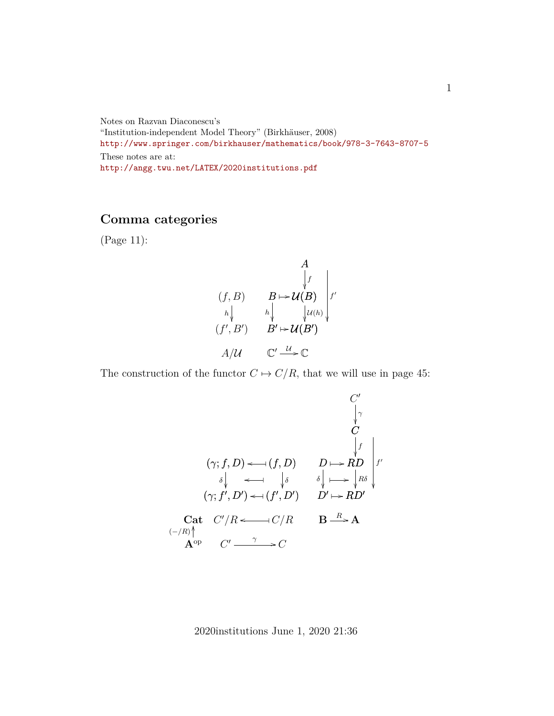Notes on Razvan Diaconescu's "Institution-independent Model Theory" (Birkhäuser, 2008) <http://www.springer.com/birkhauser/mathematics/book/978-3-7643-8707-5> These notes are at: <http://angg.twu.net/LATEX/2020institutions.pdf>

## **Comma categories**

(Page 11):

$$
\begin{array}{ccc}\n & A & & \\
 & \downarrow f & \\
 & \downarrow f & \\
 h \downarrow & & h \downarrow & \downarrow \nu(h) \\
 & (f', B') & B' \mapsto \mathcal{U}(B') & \\
 & A/\mathcal{U} & \mathbb{C}' \xrightarrow{\mathcal{U}} \mathbb{C}\n\end{array}
$$

The construction of the functor  $C \mapsto C/R$ , that we will use in page 45:

Cat Aop OO (−/R) (γ; f, D) (f, D) o ✤ ) (γ; f 0 , D<sup>0</sup> ) δ (f 0 , D<sup>0</sup> ) δ ) o ✤ o ✤ C <sup>0</sup>/R C/R o ✤ C <sup>0</sup> C γ / C 0 C γ RD f D ✤ / D0 δ RD<sup>0</sup> Rδ ✤ /<sup>f</sup> 0 ✤ / B A <sup>R</sup> /

2020institutions June 1, 2020 21:36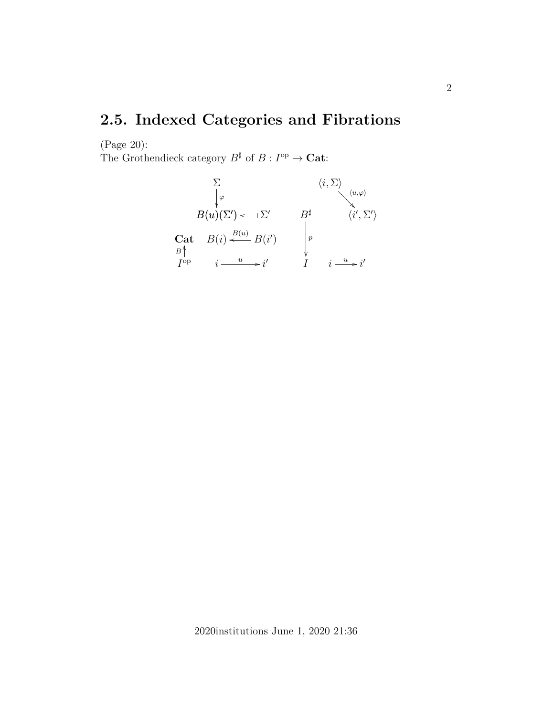## **2.5. Indexed Categories and Fibrations**

(Page 20):

The Grothendieck category  $B^{\sharp}$  of  $B: I^{op} \to \mathbf{Cat}$ :

$$
\sum_{\begin{subarray}{c}\varphi\\ \varphi\end{subarray}} \langle i, \Sigma \rangle \langle u, \varphi \rangle
$$
\n
$$
B(u)(\Sigma') \leftarrow \Sigma' \qquad B^{\sharp} \qquad \langle i', \Sigma' \rangle
$$
\n
$$
\begin{array}{ccc}\n\text{Cat} & B(i) \stackrel{B(u)}{\leftarrow} B(i') & \downarrow p \\
I^{\text{op}} & i \stackrel{u}{\longrightarrow} i' & I & i \stackrel{u}{\longrightarrow} i'\n\end{array}
$$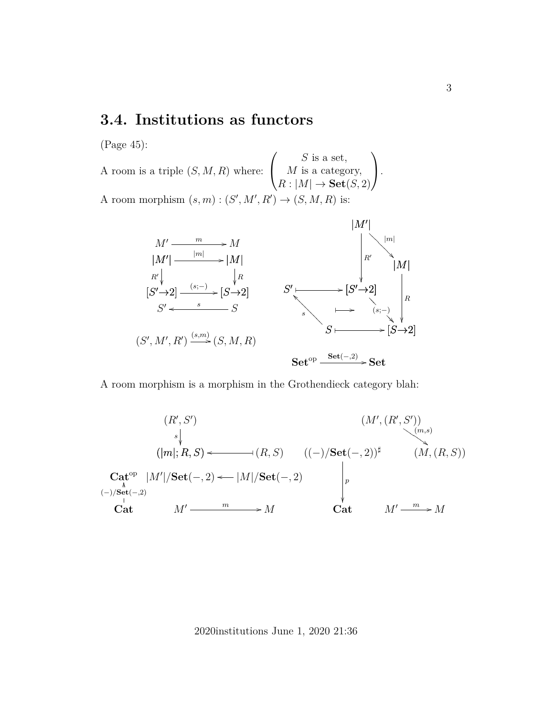## **3.4. Institutions as functors**

(Page 45):

A room is a triple  $(S, M, R)$  where:  $\sqrt{ }$  $\overline{1}$  $S$  is a set,  $M$  is a category,  $R: |M| \to \mathbf{Set}(S, 2)$  $\setminus$  $\cdot$ A room morphism  $(s, m) : (S', M', R') \to (S, M, R)$  is:



A room morphism is a morphism in the Grothendieck category blah:



2020institutions June 1, 2020 21:36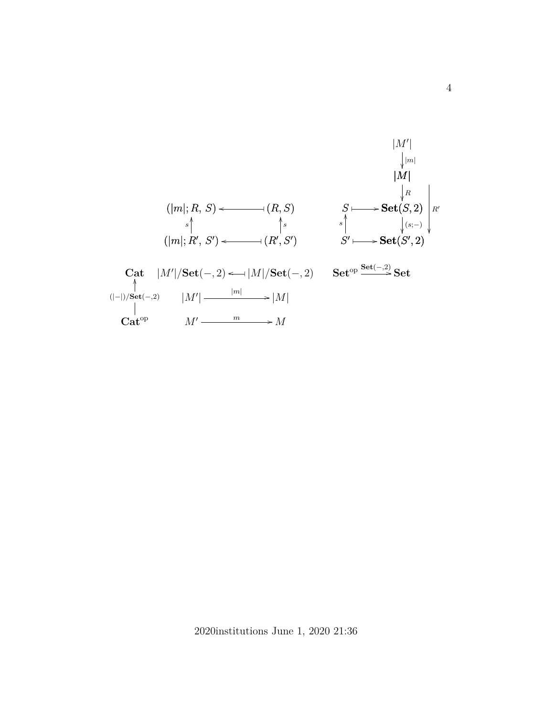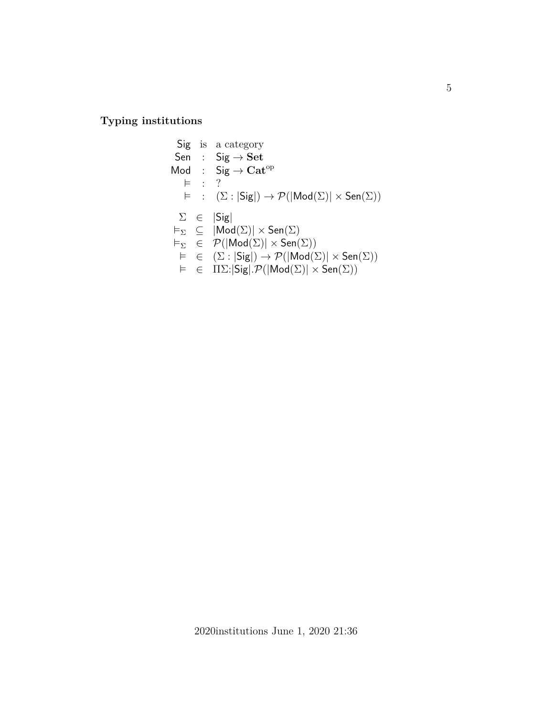**Typing institutions**

Sig is a category  $\begin{array}{rcl} \mathsf{Sen} & : & \mathsf{Sig} \rightarrow \mathbf{Set} \end{array}$ Mod :  $Sig \rightarrow Cat^{op}$  $\models$  : ?  $\vDash$  :  $(\Sigma : |Sig|) \rightarrow \mathcal{P}(|Mod(\Sigma)| \times \text{Sen}(\Sigma))$  $\Sigma \in |Sig|$  $\vDash_{\Sigma} \subseteq |Mod(\Sigma)| \times \textsf{Sen}(\Sigma)$  $\vDash_{\Sigma} \in \mathcal{P}(|Mod(\Sigma)| \times \textsf{Sen}(\Sigma))$  $\vDash \in (\Sigma : |Sig|) \rightarrow \mathcal{P}(|Mod(\Sigma)| \times \text{Sen}(\Sigma))$  $\vDash \in \Pi \Sigma : |Sig| \cdot \mathcal{P}(|Mod(\Sigma)| \times Sen(\Sigma))$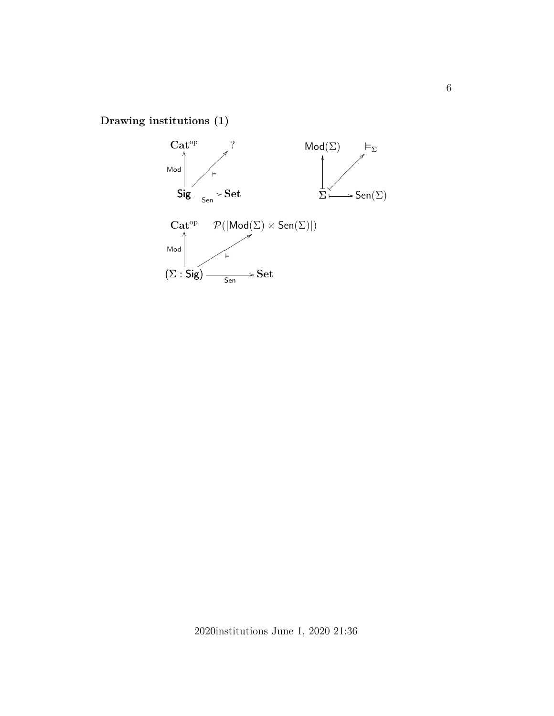**Drawing institutions (1)**

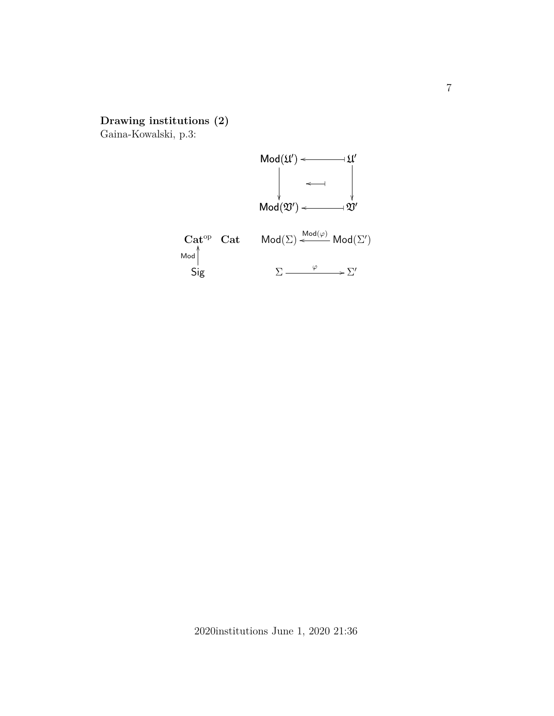## **Drawing institutions (2)**

Gaina-Kowalski, p.3:

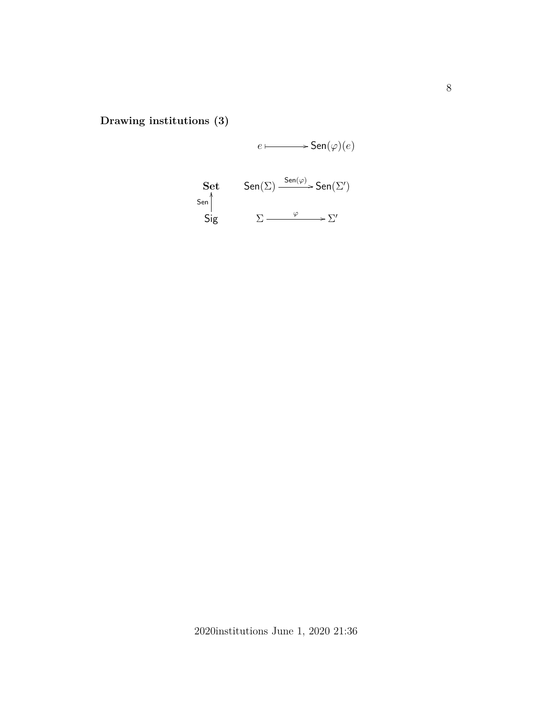**Drawing institutions (3)**

 $e \longmapsto$  Sen $(\varphi)(e)$ Sig  $\Sigma \longrightarrow \Sigma'$  $\textbf{Set}$   $\textsf{Sen}(\Sigma) \xrightarrow{\textsf{Sen}(\varphi)} \textsf{Sen}(\Sigma')$ Sen ر<br>ا